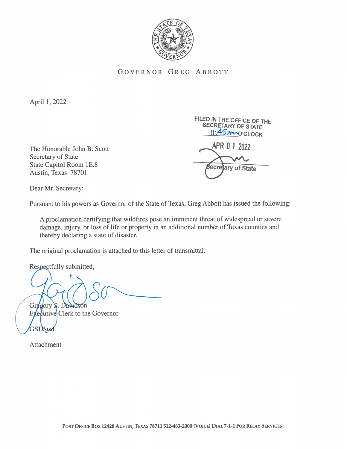

## GOVERNOR GREG ABBOTT

April 1, 2022

Secretary of State State Capitol Room 1E.8 Austin, Texas 78701

FILED IN THE OFFiCE OF THE SECRETARY OF STATE **II:45AMO'CLOCK** The Honorable John B. Scott **APR 01 2022** 5ecre of State

Dear Mr. Secretary:

Pursuant to his powers as Governor of the State of Texas, Greg Abbott has issued the following:

A proclamation certifying that wildfires pose an imminent threat of widespread or severe damage, injury, or loss of life or property in an additional number of Texas counties and thereby declaring a state of disaster.

The original proclamation is attached to this letter of transmittal.

Respectfully submitted,

Gregory S. Davidson

 $Ex$ e $f$ utive Clerk to the Governor **GSDYgsd** 

Attachment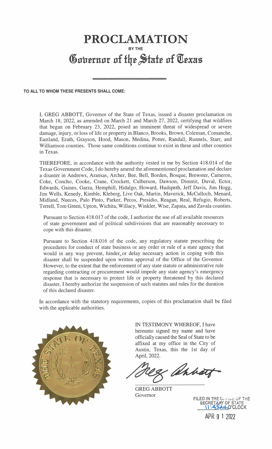## PROCLAMATION BY THE Governor of the State of Texas

## TO ALL TO WHOM THESE PRESENTS SHALL COME:

I, GREG ABBOTT, Governor of the State of Texas, issued a disaster proclamation on March 18, 2022, as amended on March 21 and March 27, 2022, certifying that wildfires that began on February 23, 2022, posed an imminent threat of widespread or severe damage, injury, or loss of life or property in Blanco, Brooks, Brown, Coleman, Comanche, Eastland, Erath, Grayson, Hood, Mason, Medina, Potter, Randall, Runnels, Starr, and Williamson counties. Those same conditions continue to exist in these and other counties in Texas.

THEREFORE, in accordance with the authority vested in me by Section 4 18.014 of the Texas Government Code, I do hereby amend the aforementioned proclamation and declare a disaster in Andrews, Aransas, Archer, Bee, Bell, Borden, Bosque, Brewster, Cameron, Coke, Concho, Cooke, Crane, Crockett, Culberson, Dawson, Dimmit, Duval, Ector, Edwards, Gaines, Garza, Hemphill, Hidalgo, Howard, Hudspeth, Jeff Davis, Jim Hogg, Jim Wells, Kenedy, Kimble, Kleberg, Live Oak, Martin, Maverick, McCulloch, Menard, Midland, Nueces, Palo Pinto, Parker, Pecos, Presidio, Reagan, Real, Refugio, Roberts, Terrell, Tom Green, Upton, Wichita, Willacy, Winkler, Wise, Zapata, and Zavala counties.

Pursuant to Section 418.017 of the code, I authorize the use of all available resources of state government and of political subdivisions that are reasonably necessary to cope with this disaster.

Pursuant to Section 418.016 of the code, any regulatory statute prescribing the procedures for conduct of state business or any order or rule of a state agency that would in any way prevent, hinder or delay necessary action in coping with this disaster shall be suspended upon written approval of the Office of the Governor. However, to the extent that the enforcement of any state statute or administrative rule regarding contracting or procurement would impede any state agency's emergency response that is necessary to protect life or property threatened by this declared disaster, I hereby authorize the suspension of such statutes and rules for the duration of this declared disaster.

In accordance with the statutory requirements, copies of this proclamation shall be filed with the applicable authorities.



IN TESTIMONY WHEREOF, I have hereunto signed my name and have officially caused the Seal of State to be affixed at my office in the City of Austin, Texas, this the 1st day of April, 2022.

Ahbatt

GREG ABBOTT Governor

FILED IN THE CHANGE OF THE SECRETARY OF STATE - \**I:45AnO'CLOCK** 

APR 0 <sup>1</sup> 2022